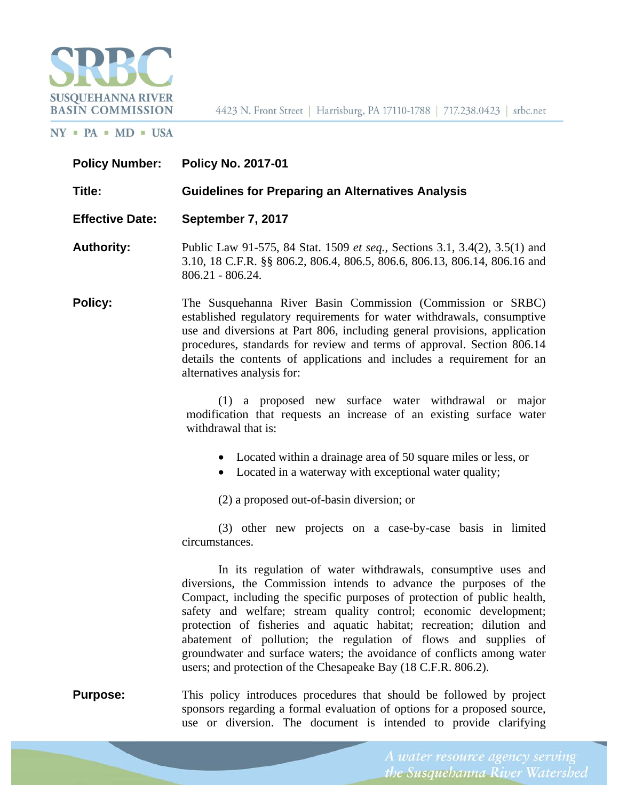

4423 N. Front Street | Harrisburg, PA 17110-1788 | 717.238.0423 | srbc.net

#### $NY$  = PA = MD = USA

| <b>Policy Number:</b>  | <b>Policy No. 2017-01</b>                                                                                                                                                                                                                                                                                                                                                                                                                                                                                                                                                  |
|------------------------|----------------------------------------------------------------------------------------------------------------------------------------------------------------------------------------------------------------------------------------------------------------------------------------------------------------------------------------------------------------------------------------------------------------------------------------------------------------------------------------------------------------------------------------------------------------------------|
| Title:                 | <b>Guidelines for Preparing an Alternatives Analysis</b>                                                                                                                                                                                                                                                                                                                                                                                                                                                                                                                   |
| <b>Effective Date:</b> | September 7, 2017                                                                                                                                                                                                                                                                                                                                                                                                                                                                                                                                                          |
| <b>Authority:</b>      | Public Law 91-575, 84 Stat. 1509 et seq., Sections 3.1, 3.4(2), 3.5(1) and<br>3.10, 18 C.F.R. §§ 806.2, 806.4, 806.5, 806.6, 806.13, 806.14, 806.16 and<br>$806.21 - 806.24$ .                                                                                                                                                                                                                                                                                                                                                                                             |
| <b>Policy:</b>         | The Susquehanna River Basin Commission (Commission or SRBC)<br>established regulatory requirements for water withdrawals, consumptive<br>use and diversions at Part 806, including general provisions, application<br>procedures, standards for review and terms of approval. Section 806.14<br>details the contents of applications and includes a requirement for an<br>alternatives analysis for:                                                                                                                                                                       |
|                        | (1) a proposed new surface water withdrawal or major<br>modification that requests an increase of an existing surface water<br>withdrawal that is:                                                                                                                                                                                                                                                                                                                                                                                                                         |
|                        | • Located within a drainage area of 50 square miles or less, or<br>Located in a waterway with exceptional water quality;                                                                                                                                                                                                                                                                                                                                                                                                                                                   |
|                        | (2) a proposed out-of-basin diversion; or                                                                                                                                                                                                                                                                                                                                                                                                                                                                                                                                  |
|                        | (3) other new projects on a case-by-case basis in limited<br>circumstances.                                                                                                                                                                                                                                                                                                                                                                                                                                                                                                |
|                        | In its regulation of water withdrawals, consumptive uses and<br>diversions, the Commission intends to advance the purposes of the<br>Compact, including the specific purposes of protection of public health,<br>safety and welfare; stream quality control; economic development;<br>protection of fisheries and aquatic habitat; recreation; dilution and<br>abatement of pollution; the regulation of flows and supplies of<br>groundwater and surface waters; the avoidance of conflicts among water<br>users; and protection of the Chesapeake Bay (18 C.F.R. 806.2). |
| <b>Purpose:</b>        | This policy introduces procedures that should be followed by project<br>sponsors regarding a formal evaluation of options for a proposed source,                                                                                                                                                                                                                                                                                                                                                                                                                           |

use or diversion. The document is intended to provide clarifying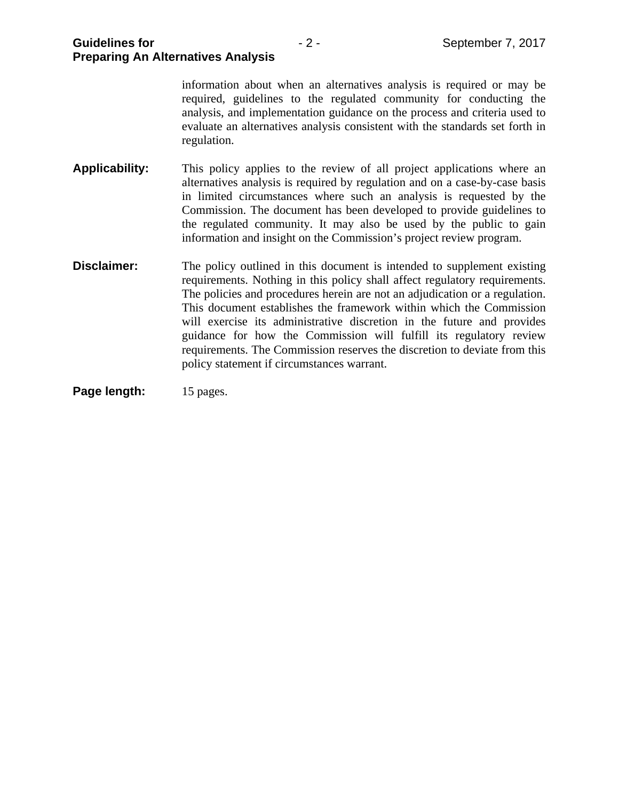|                       | information about when an alternatives analysis is required or may be<br>required, guidelines to the regulated community for conducting the<br>analysis, and implementation guidance on the process and criteria used to<br>evaluate an alternatives analysis consistent with the standards set forth in<br>regulation.                                                                                                                                                                                                                                                                |
|-----------------------|----------------------------------------------------------------------------------------------------------------------------------------------------------------------------------------------------------------------------------------------------------------------------------------------------------------------------------------------------------------------------------------------------------------------------------------------------------------------------------------------------------------------------------------------------------------------------------------|
| <b>Applicability:</b> | This policy applies to the review of all project applications where an<br>alternatives analysis is required by regulation and on a case-by-case basis<br>in limited circumstances where such an analysis is requested by the<br>Commission. The document has been developed to provide guidelines to<br>the regulated community. It may also be used by the public to gain<br>information and insight on the Commission's project review program.                                                                                                                                      |
| Disclaimer:           | The policy outlined in this document is intended to supplement existing<br>requirements. Nothing in this policy shall affect regulatory requirements.<br>The policies and procedures herein are not an adjudication or a regulation.<br>This document establishes the framework within which the Commission<br>will exercise its administrative discretion in the future and provides<br>guidance for how the Commission will fulfill its regulatory review<br>requirements. The Commission reserves the discretion to deviate from this<br>policy statement if circumstances warrant. |

Page length: 15 pages.

**Preparing An Alternatives Analysis**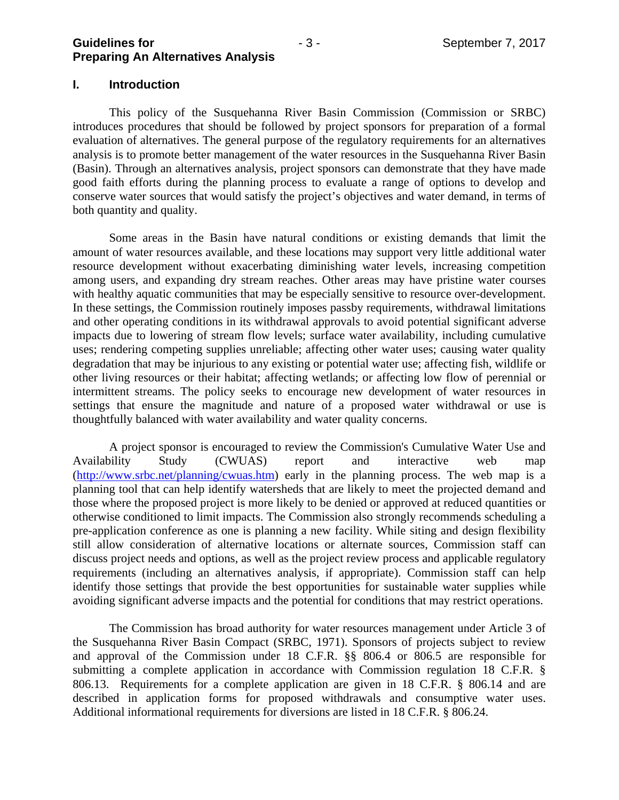#### **I. Introduction**

 This policy of the Susquehanna River Basin Commission (Commission or SRBC) introduces procedures that should be followed by project sponsors for preparation of a formal evaluation of alternatives. The general purpose of the regulatory requirements for an alternatives analysis is to promote better management of the water resources in the Susquehanna River Basin (Basin). Through an alternatives analysis, project sponsors can demonstrate that they have made good faith efforts during the planning process to evaluate a range of options to develop and conserve water sources that would satisfy the project's objectives and water demand, in terms of both quantity and quality.

 Some areas in the Basin have natural conditions or existing demands that limit the amount of water resources available, and these locations may support very little additional water resource development without exacerbating diminishing water levels, increasing competition among users, and expanding dry stream reaches. Other areas may have pristine water courses with healthy aquatic communities that may be especially sensitive to resource over-development. In these settings, the Commission routinely imposes passby requirements, withdrawal limitations and other operating conditions in its withdrawal approvals to avoid potential significant adverse impacts due to lowering of stream flow levels; surface water availability, including cumulative uses; rendering competing supplies unreliable; affecting other water uses; causing water quality degradation that may be injurious to any existing or potential water use; affecting fish, wildlife or other living resources or their habitat; affecting wetlands; or affecting low flow of perennial or intermittent streams. The policy seeks to encourage new development of water resources in settings that ensure the magnitude and nature of a proposed water withdrawal or use is thoughtfully balanced with water availability and water quality concerns.

 A project sponsor is encouraged to review the Commission's Cumulative Water Use and Availability Study (CWUAS) report and interactive web map (http://www.srbc.net/planning/cwuas.htm) early in the planning process. The web map is a planning tool that can help identify watersheds that are likely to meet the projected demand and those where the proposed project is more likely to be denied or approved at reduced quantities or otherwise conditioned to limit impacts. The Commission also strongly recommends scheduling a pre-application conference as one is planning a new facility. While siting and design flexibility still allow consideration of alternative locations or alternate sources, Commission staff can discuss project needs and options, as well as the project review process and applicable regulatory requirements (including an alternatives analysis, if appropriate). Commission staff can help identify those settings that provide the best opportunities for sustainable water supplies while avoiding significant adverse impacts and the potential for conditions that may restrict operations.

 The Commission has broad authority for water resources management under Article 3 of the Susquehanna River Basin Compact (SRBC, 1971). Sponsors of projects subject to review and approval of the Commission under 18 C.F.R. §§ 806.4 or 806.5 are responsible for submitting a complete application in accordance with Commission regulation 18 C.F.R. § 806.13. Requirements for a complete application are given in 18 C.F.R. § 806.14 and are described in application forms for proposed withdrawals and consumptive water uses. Additional informational requirements for diversions are listed in 18 C.F.R. § 806.24.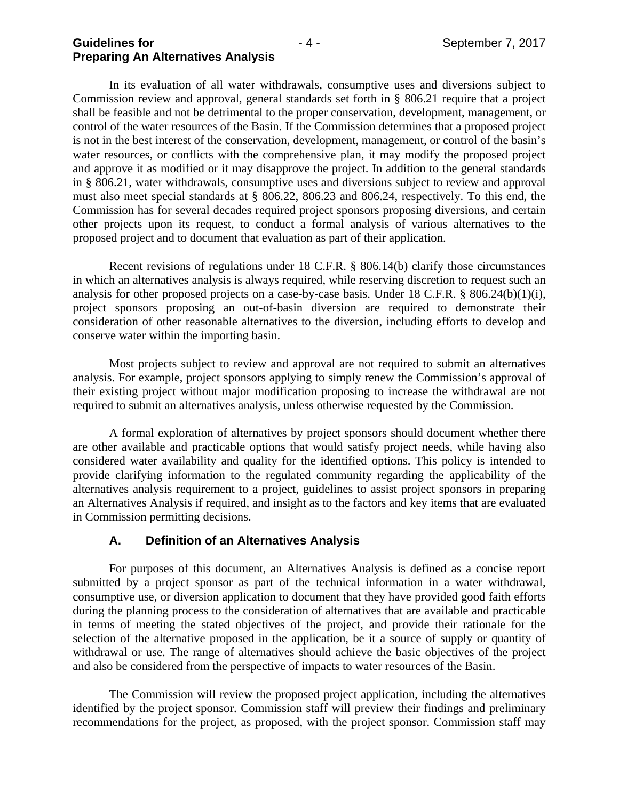In its evaluation of all water withdrawals, consumptive uses and diversions subject to Commission review and approval, general standards set forth in § 806.21 require that a project shall be feasible and not be detrimental to the proper conservation, development, management, or control of the water resources of the Basin. If the Commission determines that a proposed project is not in the best interest of the conservation, development, management, or control of the basin's water resources, or conflicts with the comprehensive plan, it may modify the proposed project and approve it as modified or it may disapprove the project. In addition to the general standards in § 806.21, water withdrawals, consumptive uses and diversions subject to review and approval must also meet special standards at § 806.22, 806.23 and 806.24, respectively. To this end, the Commission has for several decades required project sponsors proposing diversions, and certain other projects upon its request, to conduct a formal analysis of various alternatives to the proposed project and to document that evaluation as part of their application.

Recent revisions of regulations under 18 C.F.R. § 806.14(b) clarify those circumstances in which an alternatives analysis is always required, while reserving discretion to request such an analysis for other proposed projects on a case-by-case basis. Under 18 C.F.R. § 806.24(b)(1)(i), project sponsors proposing an out-of-basin diversion are required to demonstrate their consideration of other reasonable alternatives to the diversion, including efforts to develop and conserve water within the importing basin.

Most projects subject to review and approval are not required to submit an alternatives analysis. For example, project sponsors applying to simply renew the Commission's approval of their existing project without major modification proposing to increase the withdrawal are not required to submit an alternatives analysis, unless otherwise requested by the Commission.

A formal exploration of alternatives by project sponsors should document whether there are other available and practicable options that would satisfy project needs, while having also considered water availability and quality for the identified options. This policy is intended to provide clarifying information to the regulated community regarding the applicability of the alternatives analysis requirement to a project, guidelines to assist project sponsors in preparing an Alternatives Analysis if required, and insight as to the factors and key items that are evaluated in Commission permitting decisions.

#### **A. Definition of an Alternatives Analysis**

For purposes of this document, an Alternatives Analysis is defined as a concise report submitted by a project sponsor as part of the technical information in a water withdrawal, consumptive use, or diversion application to document that they have provided good faith efforts during the planning process to the consideration of alternatives that are available and practicable in terms of meeting the stated objectives of the project, and provide their rationale for the selection of the alternative proposed in the application, be it a source of supply or quantity of withdrawal or use. The range of alternatives should achieve the basic objectives of the project and also be considered from the perspective of impacts to water resources of the Basin.

The Commission will review the proposed project application, including the alternatives identified by the project sponsor. Commission staff will preview their findings and preliminary recommendations for the project, as proposed, with the project sponsor. Commission staff may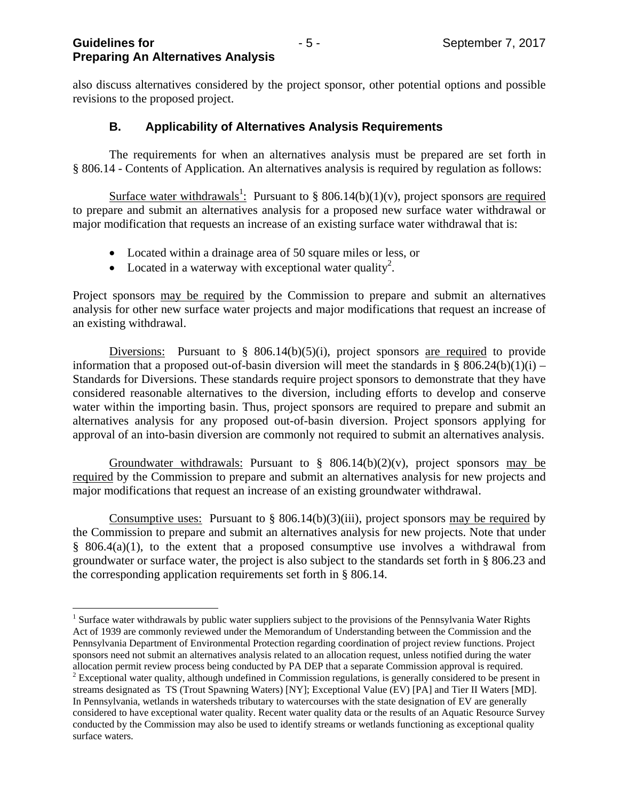also discuss alternatives considered by the project sponsor, other potential options and possible revisions to the proposed project.

### **B. Applicability of Alternatives Analysis Requirements**

 The requirements for when an alternatives analysis must be prepared are set forth in § 806.14 - Contents of Application. An alternatives analysis is required by regulation as follows:

Surface water withdrawals<sup>1</sup>: Pursuant to § 806.14(b)(1)(v), project sponsors <u>are required</u> to prepare and submit an alternatives analysis for a proposed new surface water withdrawal or major modification that requests an increase of an existing surface water withdrawal that is:

- Located within a drainage area of 50 square miles or less, or
- Located in a waterway with exceptional water quality<sup>2</sup>.

Project sponsors may be required by the Commission to prepare and submit an alternatives analysis for other new surface water projects and major modifications that request an increase of an existing withdrawal.

Diversions: Pursuant to  $\S$  806.14(b)(5)(i), project sponsors are required to provide information that a proposed out-of-basin diversion will meet the standards in § 806.24(b)(1)(i) – Standards for Diversions. These standards require project sponsors to demonstrate that they have considered reasonable alternatives to the diversion, including efforts to develop and conserve water within the importing basin. Thus, project sponsors are required to prepare and submit an alternatives analysis for any proposed out-of-basin diversion. Project sponsors applying for approval of an into-basin diversion are commonly not required to submit an alternatives analysis.

Groundwater withdrawals: Pursuant to  $\frac{8}{9}$  806.14(b)(2)(v), project sponsors may be required by the Commission to prepare and submit an alternatives analysis for new projects and major modifications that request an increase of an existing groundwater withdrawal.

Consumptive uses: Pursuant to  $\S$  806.14(b)(3)(iii), project sponsors may be required by the Commission to prepare and submit an alternatives analysis for new projects. Note that under § 806.4(a)(1), to the extent that a proposed consumptive use involves a withdrawal from groundwater or surface water, the project is also subject to the standards set forth in § 806.23 and the corresponding application requirements set forth in § 806.14.

<sup>&</sup>lt;u>.</u> <sup>1</sup> Surface water withdrawals by public water suppliers subject to the provisions of the Pennsylvania Water Rights Act of 1939 are commonly reviewed under the Memorandum of Understanding between the Commission and the Pennsylvania Department of Environmental Protection regarding coordination of project review functions. Project sponsors need not submit an alternatives analysis related to an allocation request, unless notified during the water allocation permit review process being conducted by PA DEP that a separate Commission approval is require

allocation permit review process being conducted by PA DEP that a separate Commission approval is required.<br><sup>2</sup> Exceptional water quality, although undefined in Commission regulations, is generally considered to be present streams designated as TS (Trout Spawning Waters) [NY]; Exceptional Value (EV) [PA] and Tier II Waters [MD]. In Pennsylvania, wetlands in watersheds tributary to watercourses with the state designation of EV are generally considered to have exceptional water quality. Recent water quality data or the results of an Aquatic Resource Survey conducted by the Commission may also be used to identify streams or wetlands functioning as exceptional quality surface waters.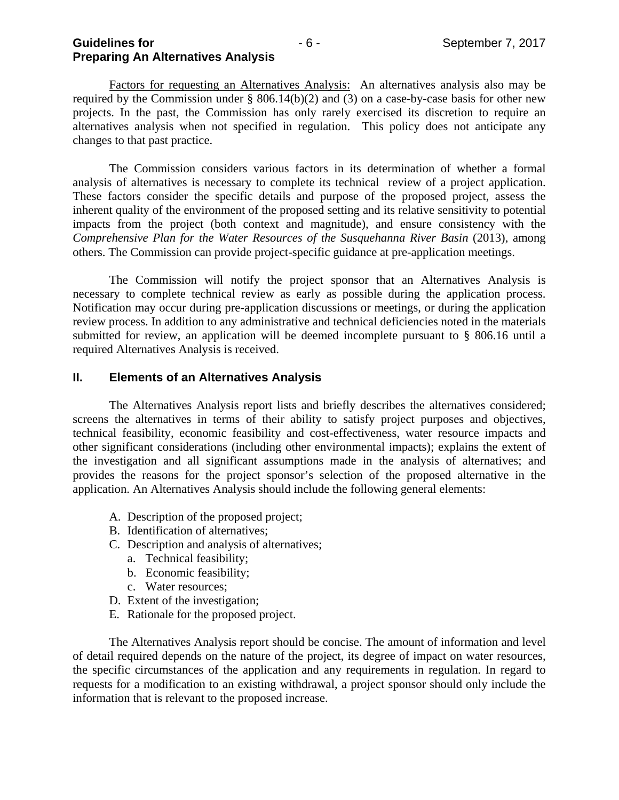Factors for requesting an Alternatives Analysis: An alternatives analysis also may be required by the Commission under  $\S$  806.14(b)(2) and (3) on a case-by-case basis for other new projects. In the past, the Commission has only rarely exercised its discretion to require an alternatives analysis when not specified in regulation. This policy does not anticipate any changes to that past practice.

The Commission considers various factors in its determination of whether a formal analysis of alternatives is necessary to complete its technical review of a project application. These factors consider the specific details and purpose of the proposed project, assess the inherent quality of the environment of the proposed setting and its relative sensitivity to potential impacts from the project (both context and magnitude), and ensure consistency with the *Comprehensive Plan for the Water Resources of the Susquehanna River Basin* (2013), among others. The Commission can provide project-specific guidance at pre-application meetings.

 The Commission will notify the project sponsor that an Alternatives Analysis is necessary to complete technical review as early as possible during the application process. Notification may occur during pre-application discussions or meetings, or during the application review process. In addition to any administrative and technical deficiencies noted in the materials submitted for review, an application will be deemed incomplete pursuant to § 806.16 until a required Alternatives Analysis is received.

#### **II. Elements of an Alternatives Analysis**

 The Alternatives Analysis report lists and briefly describes the alternatives considered; screens the alternatives in terms of their ability to satisfy project purposes and objectives, technical feasibility, economic feasibility and cost-effectiveness, water resource impacts and other significant considerations (including other environmental impacts); explains the extent of the investigation and all significant assumptions made in the analysis of alternatives; and provides the reasons for the project sponsor's selection of the proposed alternative in the application. An Alternatives Analysis should include the following general elements:

- A. Description of the proposed project;
- B. Identification of alternatives;
- C. Description and analysis of alternatives;
	- a. Technical feasibility;
	- b. Economic feasibility;
	- c. Water resources;
- D. Extent of the investigation;
- E. Rationale for the proposed project.

 The Alternatives Analysis report should be concise. The amount of information and level of detail required depends on the nature of the project, its degree of impact on water resources, the specific circumstances of the application and any requirements in regulation. In regard to requests for a modification to an existing withdrawal, a project sponsor should only include the information that is relevant to the proposed increase.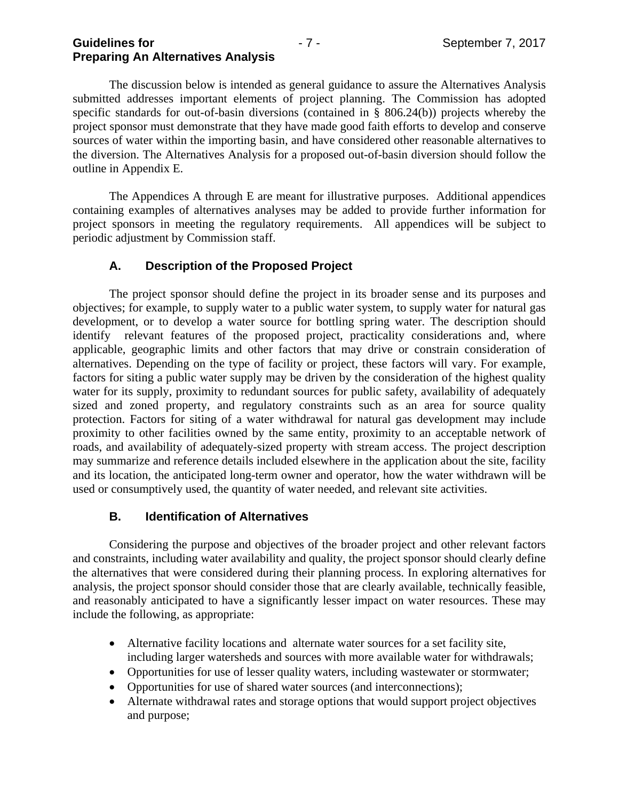The discussion below is intended as general guidance to assure the Alternatives Analysis submitted addresses important elements of project planning. The Commission has adopted specific standards for out-of-basin diversions (contained in § 806.24(b)) projects whereby the project sponsor must demonstrate that they have made good faith efforts to develop and conserve sources of water within the importing basin, and have considered other reasonable alternatives to the diversion. The Alternatives Analysis for a proposed out-of-basin diversion should follow the outline in Appendix E.

 The Appendices A through E are meant for illustrative purposes. Additional appendices containing examples of alternatives analyses may be added to provide further information for project sponsors in meeting the regulatory requirements. All appendices will be subject to periodic adjustment by Commission staff.

### **A. Description of the Proposed Project**

The project sponsor should define the project in its broader sense and its purposes and objectives; for example, to supply water to a public water system, to supply water for natural gas development, or to develop a water source for bottling spring water. The description should identify relevant features of the proposed project, practicality considerations and, where applicable, geographic limits and other factors that may drive or constrain consideration of alternatives. Depending on the type of facility or project, these factors will vary. For example, factors for siting a public water supply may be driven by the consideration of the highest quality water for its supply, proximity to redundant sources for public safety, availability of adequately sized and zoned property, and regulatory constraints such as an area for source quality protection. Factors for siting of a water withdrawal for natural gas development may include proximity to other facilities owned by the same entity, proximity to an acceptable network of roads, and availability of adequately-sized property with stream access. The project description may summarize and reference details included elsewhere in the application about the site, facility and its location, the anticipated long-term owner and operator, how the water withdrawn will be used or consumptively used, the quantity of water needed, and relevant site activities.

### **B. Identification of Alternatives**

Considering the purpose and objectives of the broader project and other relevant factors and constraints, including water availability and quality, the project sponsor should clearly define the alternatives that were considered during their planning process. In exploring alternatives for analysis, the project sponsor should consider those that are clearly available, technically feasible, and reasonably anticipated to have a significantly lesser impact on water resources. These may include the following, as appropriate:

- Alternative facility locations and alternate water sources for a set facility site, including larger watersheds and sources with more available water for withdrawals;
- Opportunities for use of lesser quality waters, including wastewater or stormwater;
- Opportunities for use of shared water sources (and interconnections);
- Alternate withdrawal rates and storage options that would support project objectives and purpose;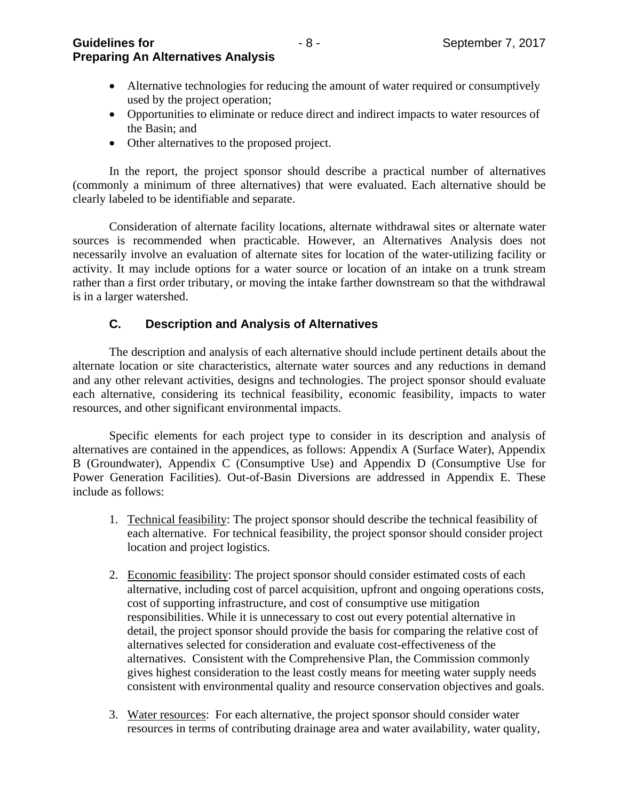**Guidelines for** The Company of  $\overline{a}$  and  $\overline{b}$  - 8 - September 7, 2017 **Preparing An Alternatives Analysis** 

- Alternative technologies for reducing the amount of water required or consumptively used by the project operation;
- Opportunities to eliminate or reduce direct and indirect impacts to water resources of the Basin; and
- Other alternatives to the proposed project.

In the report, the project sponsor should describe a practical number of alternatives (commonly a minimum of three alternatives) that were evaluated. Each alternative should be clearly labeled to be identifiable and separate.

Consideration of alternate facility locations, alternate withdrawal sites or alternate water sources is recommended when practicable. However, an Alternatives Analysis does not necessarily involve an evaluation of alternate sites for location of the water-utilizing facility or activity. It may include options for a water source or location of an intake on a trunk stream rather than a first order tributary, or moving the intake farther downstream so that the withdrawal is in a larger watershed.

#### **C. Description and Analysis of Alternatives**

The description and analysis of each alternative should include pertinent details about the alternate location or site characteristics, alternate water sources and any reductions in demand and any other relevant activities, designs and technologies. The project sponsor should evaluate each alternative, considering its technical feasibility, economic feasibility, impacts to water resources, and other significant environmental impacts.

Specific elements for each project type to consider in its description and analysis of alternatives are contained in the appendices, as follows: Appendix A (Surface Water), Appendix B (Groundwater), Appendix C (Consumptive Use) and Appendix D (Consumptive Use for Power Generation Facilities). Out-of-Basin Diversions are addressed in Appendix E. These include as follows:

- 1. Technical feasibility: The project sponsor should describe the technical feasibility of each alternative. For technical feasibility, the project sponsor should consider project location and project logistics.
- 2. Economic feasibility: The project sponsor should consider estimated costs of each alternative, including cost of parcel acquisition, upfront and ongoing operations costs, cost of supporting infrastructure, and cost of consumptive use mitigation responsibilities. While it is unnecessary to cost out every potential alternative in detail, the project sponsor should provide the basis for comparing the relative cost of alternatives selected for consideration and evaluate cost-effectiveness of the alternatives. Consistent with the Comprehensive Plan, the Commission commonly gives highest consideration to the least costly means for meeting water supply needs consistent with environmental quality and resource conservation objectives and goals.
- 3. Water resources: For each alternative, the project sponsor should consider water resources in terms of contributing drainage area and water availability, water quality,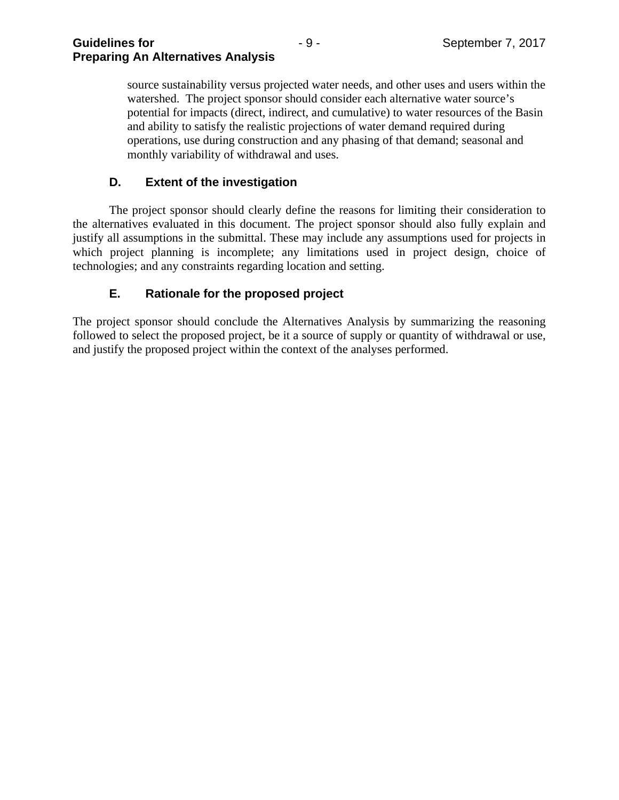source sustainability versus projected water needs, and other uses and users within the watershed. The project sponsor should consider each alternative water source's potential for impacts (direct, indirect, and cumulative) to water resources of the Basin and ability to satisfy the realistic projections of water demand required during operations, use during construction and any phasing of that demand; seasonal and monthly variability of withdrawal and uses.

# **D. Extent of the investigation**

 The project sponsor should clearly define the reasons for limiting their consideration to the alternatives evaluated in this document. The project sponsor should also fully explain and justify all assumptions in the submittal. These may include any assumptions used for projects in which project planning is incomplete; any limitations used in project design, choice of technologies; and any constraints regarding location and setting.

# **E. Rationale for the proposed project**

The project sponsor should conclude the Alternatives Analysis by summarizing the reasoning followed to select the proposed project, be it a source of supply or quantity of withdrawal or use, and justify the proposed project within the context of the analyses performed.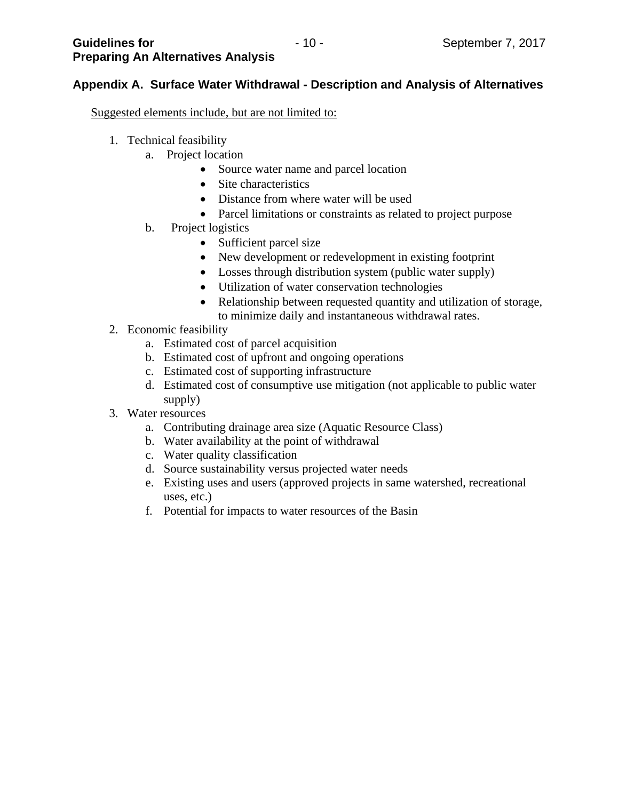# **Appendix A. Surface Water Withdrawal - Description and Analysis of Alternatives**

Suggested elements include, but are not limited to:

- 1. Technical feasibility
	- a. Project location
		- Source water name and parcel location
		- Site characteristics
		- Distance from where water will be used
		- Parcel limitations or constraints as related to project purpose
	- b. Project logistics
		- Sufficient parcel size
		- New development or redevelopment in existing footprint
		- Losses through distribution system (public water supply)
		- Utilization of water conservation technologies
		- Relationship between requested quantity and utilization of storage, to minimize daily and instantaneous withdrawal rates.
- 2. Economic feasibility
	- a. Estimated cost of parcel acquisition
	- b. Estimated cost of upfront and ongoing operations
	- c. Estimated cost of supporting infrastructure
	- d. Estimated cost of consumptive use mitigation (not applicable to public water supply)
- 3. Water resources
	- a. Contributing drainage area size (Aquatic Resource Class)
	- b. Water availability at the point of withdrawal
	- c. Water quality classification
	- d. Source sustainability versus projected water needs
	- e. Existing uses and users (approved projects in same watershed, recreational uses, etc.)
	- f. Potential for impacts to water resources of the Basin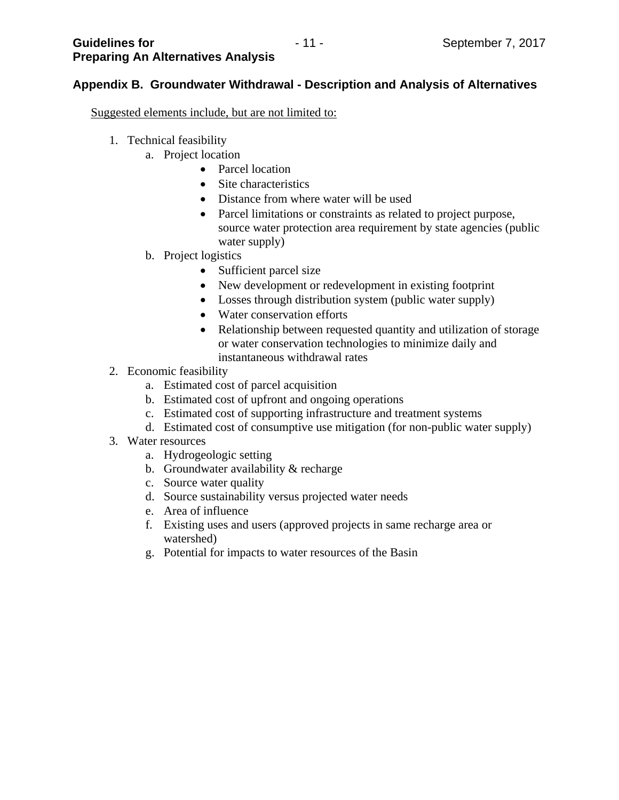# **Appendix B. Groundwater Withdrawal - Description and Analysis of Alternatives**

Suggested elements include, but are not limited to:

- 1. Technical feasibility
	- a. Project location
		- Parcel location
		- Site characteristics
		- Distance from where water will be used
		- Parcel limitations or constraints as related to project purpose, source water protection area requirement by state agencies (public water supply)
	- b. Project logistics
		- Sufficient parcel size
		- New development or redevelopment in existing footprint
		- Losses through distribution system (public water supply)
		- Water conservation efforts
		- Relationship between requested quantity and utilization of storage or water conservation technologies to minimize daily and instantaneous withdrawal rates
- 2. Economic feasibility
	- a. Estimated cost of parcel acquisition
	- b. Estimated cost of upfront and ongoing operations
	- c. Estimated cost of supporting infrastructure and treatment systems
	- d. Estimated cost of consumptive use mitigation (for non-public water supply)
- 3. Water resources
	- a. Hydrogeologic setting
	- b. Groundwater availability & recharge
	- c. Source water quality
	- d. Source sustainability versus projected water needs
	- e. Area of influence
	- f. Existing uses and users (approved projects in same recharge area or watershed)
	- g. Potential for impacts to water resources of the Basin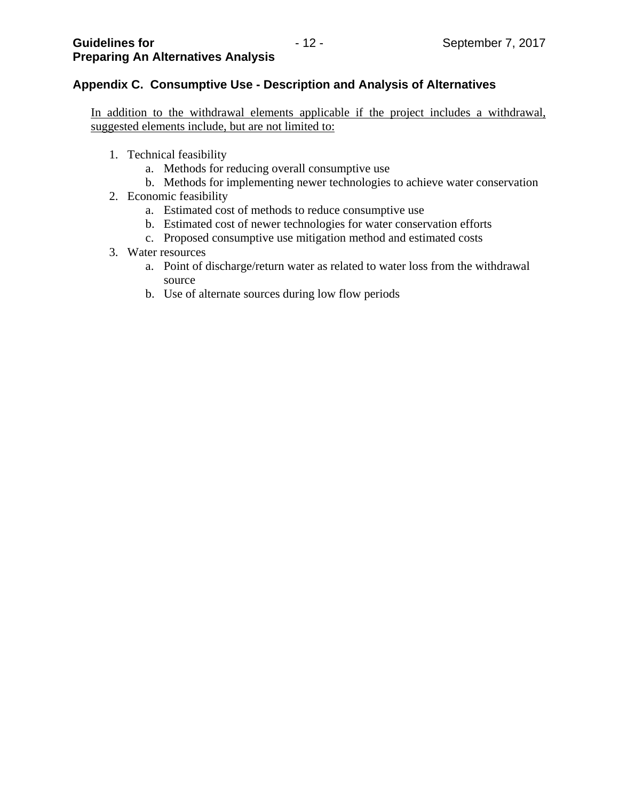# **Appendix C. Consumptive Use - Description and Analysis of Alternatives**

In addition to the withdrawal elements applicable if the project includes a withdrawal, suggested elements include, but are not limited to:

- 1. Technical feasibility
	- a. Methods for reducing overall consumptive use
	- b. Methods for implementing newer technologies to achieve water conservation
- 2. Economic feasibility
	- a. Estimated cost of methods to reduce consumptive use
	- b. Estimated cost of newer technologies for water conservation efforts
	- c. Proposed consumptive use mitigation method and estimated costs

#### 3. Water resources

- a. Point of discharge/return water as related to water loss from the withdrawal source
- b. Use of alternate sources during low flow periods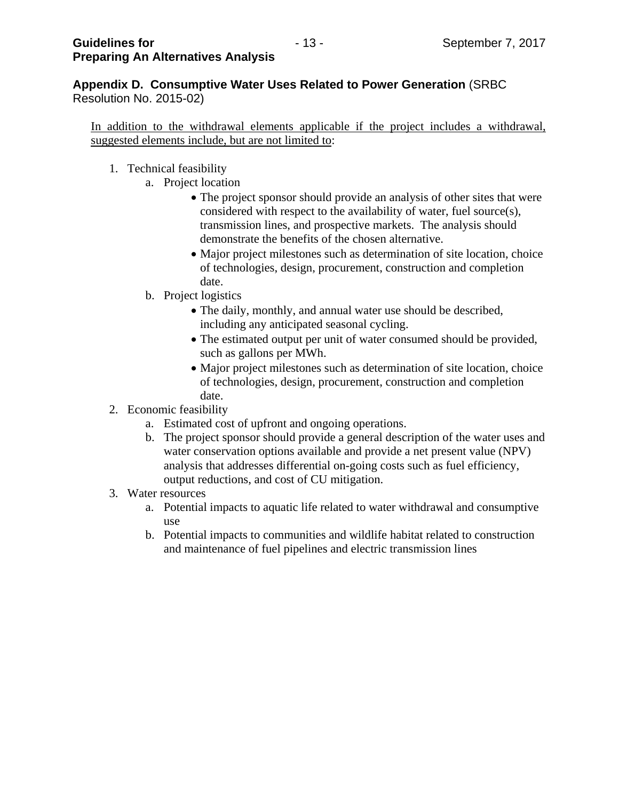**Appendix D. Consumptive Water Uses Related to Power Generation** (SRBC Resolution No. 2015-02)

In addition to the withdrawal elements applicable if the project includes a withdrawal, suggested elements include, but are not limited to:

- 1. Technical feasibility
	- a. Project location
		- The project sponsor should provide an analysis of other sites that were considered with respect to the availability of water, fuel source(s), transmission lines, and prospective markets. The analysis should demonstrate the benefits of the chosen alternative.
		- Major project milestones such as determination of site location, choice of technologies, design, procurement, construction and completion date.
	- b. Project logistics
		- The daily, monthly, and annual water use should be described, including any anticipated seasonal cycling.
		- The estimated output per unit of water consumed should be provided, such as gallons per MWh.
		- Major project milestones such as determination of site location, choice of technologies, design, procurement, construction and completion date.
- 2. Economic feasibility
	- a. Estimated cost of upfront and ongoing operations.
	- b. The project sponsor should provide a general description of the water uses and water conservation options available and provide a net present value (NPV) analysis that addresses differential on-going costs such as fuel efficiency, output reductions, and cost of CU mitigation.
- 3. Water resources
	- a. Potential impacts to aquatic life related to water withdrawal and consumptive use
	- b. Potential impacts to communities and wildlife habitat related to construction and maintenance of fuel pipelines and electric transmission lines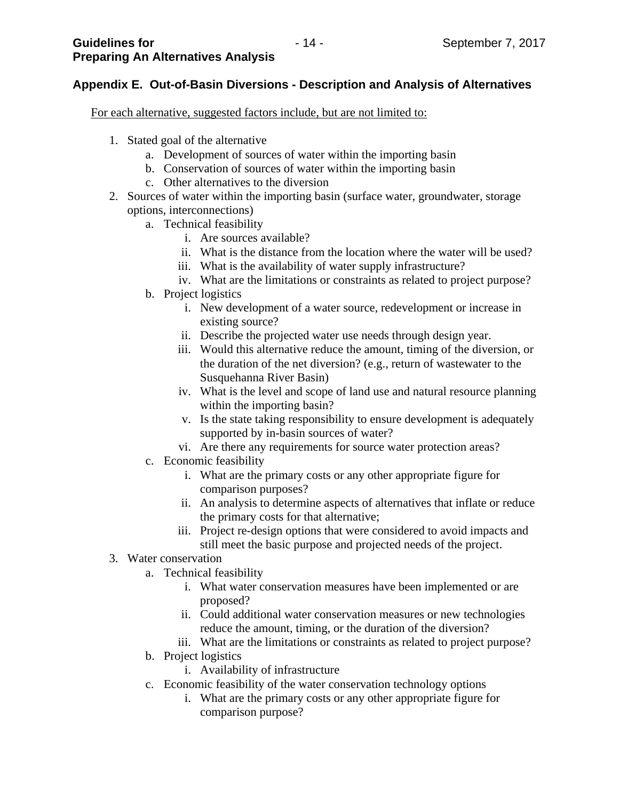# **Appendix E. Out-of-Basin Diversions - Description and Analysis of Alternatives**

For each alternative, suggested factors include, but are not limited to:

- 1. Stated goal of the alternative
	- a. Development of sources of water within the importing basin
	- b. Conservation of sources of water within the importing basin
	- c. Other alternatives to the diversion
- 2. Sources of water within the importing basin (surface water, groundwater, storage options, interconnections)
	- a. Technical feasibility
		- i. Are sources available?
		- ii. What is the distance from the location where the water will be used?
		- iii. What is the availability of water supply infrastructure?
		- iv. What are the limitations or constraints as related to project purpose?
	- b. Project logistics
		- i. New development of a water source, redevelopment or increase in existing source?
		- ii. Describe the projected water use needs through design year.
		- iii. Would this alternative reduce the amount, timing of the diversion, or the duration of the net diversion? (e.g., return of wastewater to the Susquehanna River Basin)
		- iv. What is the level and scope of land use and natural resource planning within the importing basin?
		- v. Is the state taking responsibility to ensure development is adequately supported by in-basin sources of water?
		- vi. Are there any requirements for source water protection areas?
	- c. Economic feasibility
		- i. What are the primary costs or any other appropriate figure for comparison purposes?
		- ii. An analysis to determine aspects of alternatives that inflate or reduce the primary costs for that alternative;
		- iii. Project re-design options that were considered to avoid impacts and still meet the basic purpose and projected needs of the project.
- 3. Water conservation
	- a. Technical feasibility
		- i. What water conservation measures have been implemented or are proposed?
		- ii. Could additional water conservation measures or new technologies reduce the amount, timing, or the duration of the diversion?
		- iii. What are the limitations or constraints as related to project purpose?
	- b. Project logistics
		- i. Availability of infrastructure
	- c. Economic feasibility of the water conservation technology options
		- i. What are the primary costs or any other appropriate figure for comparison purpose?